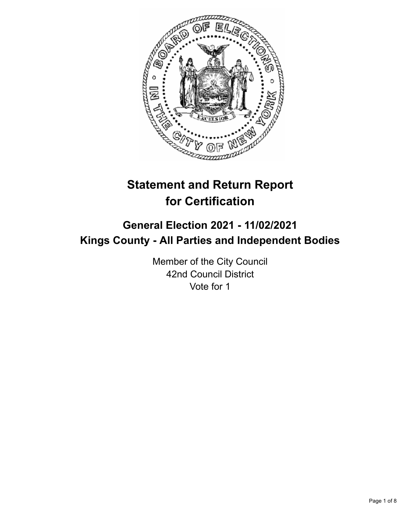

# **Statement and Return Report for Certification**

# **General Election 2021 - 11/02/2021 Kings County - All Parties and Independent Bodies**

Member of the City Council 42nd Council District Vote for 1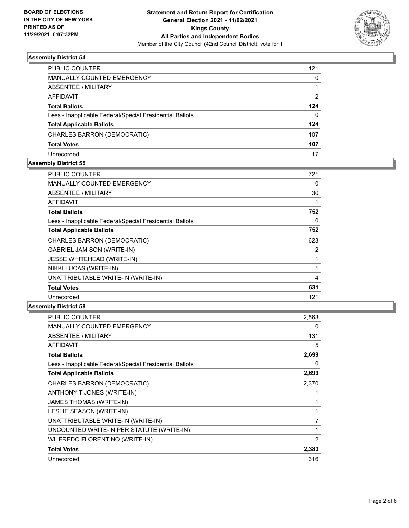

| PUBLIC COUNTER                                           | 121      |
|----------------------------------------------------------|----------|
| MANUALLY COUNTED EMERGENCY                               | 0        |
| ABSENTEE / MILITARY                                      |          |
| AFFIDAVIT                                                | 2        |
| <b>Total Ballots</b>                                     | 124      |
| Less - Inapplicable Federal/Special Presidential Ballots | $\Omega$ |
| <b>Total Applicable Ballots</b>                          | 124      |
| CHARLES BARRON (DEMOCRATIC)                              | 107      |
| <b>Total Votes</b>                                       | 107      |
| Unrecorded                                               | 17       |

#### **Assembly District 55**

| <b>PUBLIC COUNTER</b>                                    | 721            |
|----------------------------------------------------------|----------------|
| MANUALLY COUNTED EMERGENCY                               | 0              |
| ABSENTEE / MILITARY                                      | 30             |
| <b>AFFIDAVIT</b>                                         |                |
| <b>Total Ballots</b>                                     | 752            |
| Less - Inapplicable Federal/Special Presidential Ballots | 0              |
| <b>Total Applicable Ballots</b>                          | 752            |
| CHARLES BARRON (DEMOCRATIC)                              | 623            |
| <b>GABRIEL JAMISON (WRITE-IN)</b>                        | $\overline{2}$ |
| <b>JESSE WHITEHEAD (WRITE-IN)</b>                        |                |
| NIKKI LUCAS (WRITE-IN)                                   |                |
| UNATTRIBUTABLE WRITE-IN (WRITE-IN)                       | 4              |
| <b>Total Votes</b>                                       | 631            |
| Unrecorded                                               | 121            |
| .                                                        |                |

| <b>PUBLIC COUNTER</b>                                    | 2,563          |
|----------------------------------------------------------|----------------|
| MANUALLY COUNTED EMERGENCY                               | 0              |
| <b>ABSENTEE / MILITARY</b>                               | 131            |
| <b>AFFIDAVIT</b>                                         | 5              |
| <b>Total Ballots</b>                                     | 2,699          |
| Less - Inapplicable Federal/Special Presidential Ballots | 0              |
| <b>Total Applicable Ballots</b>                          | 2,699          |
| CHARLES BARRON (DEMOCRATIC)                              | 2,370          |
| ANTHONY T JONES (WRITE-IN)                               |                |
| <b>JAMES THOMAS (WRITE-IN)</b>                           | 1              |
| LESLIE SEASON (WRITE-IN)                                 | 1              |
| UNATTRIBUTABLE WRITE-IN (WRITE-IN)                       | 7              |
| UNCOUNTED WRITE-IN PER STATUTE (WRITE-IN)                | 1              |
| WILFREDO FLORENTINO (WRITE-IN)                           | $\overline{2}$ |
| <b>Total Votes</b>                                       | 2,383          |
| Unrecorded                                               | 316            |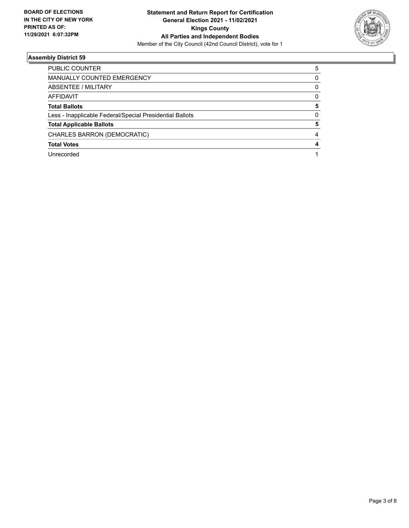

| PUBLIC COUNTER                                           | 5        |
|----------------------------------------------------------|----------|
| <b>MANUALLY COUNTED EMERGENCY</b>                        | 0        |
| ABSENTEE / MILITARY                                      | 0        |
| AFFIDAVIT                                                | 0        |
| <b>Total Ballots</b>                                     | 5        |
| Less - Inapplicable Federal/Special Presidential Ballots | $\Omega$ |
| <b>Total Applicable Ballots</b>                          | 5        |
| CHARLES BARRON (DEMOCRATIC)                              | 4        |
| <b>Total Votes</b>                                       | 4        |
| Unrecorded                                               |          |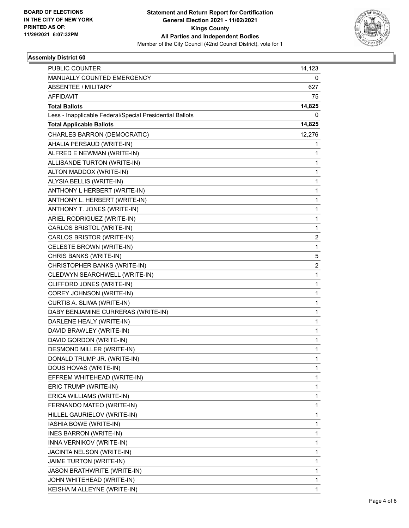

| <b>PUBLIC COUNTER</b>                                    | 14,123       |
|----------------------------------------------------------|--------------|
| MANUALLY COUNTED EMERGENCY                               | 0            |
| <b>ABSENTEE / MILITARY</b>                               | 627          |
| <b>AFFIDAVIT</b>                                         | 75           |
| <b>Total Ballots</b>                                     | 14,825       |
| Less - Inapplicable Federal/Special Presidential Ballots | 0            |
| <b>Total Applicable Ballots</b>                          | 14,825       |
| CHARLES BARRON (DEMOCRATIC)                              | 12,276       |
| AHALIA PERSAUD (WRITE-IN)                                | 1            |
| ALFRED E NEWMAN (WRITE-IN)                               | 1            |
| ALLISANDE TURTON (WRITE-IN)                              | 1            |
| ALTON MADDOX (WRITE-IN)                                  | 1            |
| ALYSIA BELLIS (WRITE-IN)                                 | 1            |
| ANTHONY L HERBERT (WRITE-IN)                             | 1            |
| ANTHONY L. HERBERT (WRITE-IN)                            | 1            |
| ANTHONY T. JONES (WRITE-IN)                              | 1            |
| ARIEL RODRIGUEZ (WRITE-IN)                               | 1            |
| CARLOS BRISTOL (WRITE-IN)                                | 1            |
| CARLOS BRISTOR (WRITE-IN)                                | 2            |
| CELESTE BROWN (WRITE-IN)                                 | $\mathbf{1}$ |
| CHRIS BANKS (WRITE-IN)                                   | 5            |
| CHRISTOPHER BANKS (WRITE-IN)                             | 2            |
| CLEDWYN SEARCHWELL (WRITE-IN)                            | $\mathbf{1}$ |
| CLIFFORD JONES (WRITE-IN)                                | 1            |
| COREY JOHNSON (WRITE-IN)                                 | 1            |
| CURTIS A. SLIWA (WRITE-IN)                               | 1            |
| DABY BENJAMINE CURRERAS (WRITE-IN)                       | 1            |
| DARLENE HEALY (WRITE-IN)                                 | 1            |
| DAVID BRAWLEY (WRITE-IN)                                 | 1            |
| DAVID GORDON (WRITE-IN)                                  | 1            |
| DESMOND MILLER (WRITE-IN)                                | 1            |
| DONALD TRUMP JR. (WRITE-IN)                              | 1            |
| DOUS HOVAS (WRITE-IN)                                    | 1            |
| EFFREM WHITEHEAD (WRITE-IN)                              | 1            |
| ERIC TRUMP (WRITE-IN)                                    | 1            |
| ERICA WILLIAMS (WRITE-IN)                                | 1            |
| FERNANDO MATEO (WRITE-IN)                                | 1            |
| HILLEL GAURIELOV (WRITE-IN)                              | 1            |
| IASHIA BOWE (WRITE-IN)                                   | 1            |
| <b>INES BARRON (WRITE-IN)</b>                            | 1            |
| INNA VERNIKOV (WRITE-IN)                                 | 1            |
| JACINTA NELSON (WRITE-IN)                                | 1            |
| JAIME TURTON (WRITE-IN)                                  | 1            |
| JASON BRATHWRITE (WRITE-IN)                              | 1            |
| JOHN WHITEHEAD (WRITE-IN)                                | 1            |
| KEISHA M ALLEYNE (WRITE-IN)                              | 1            |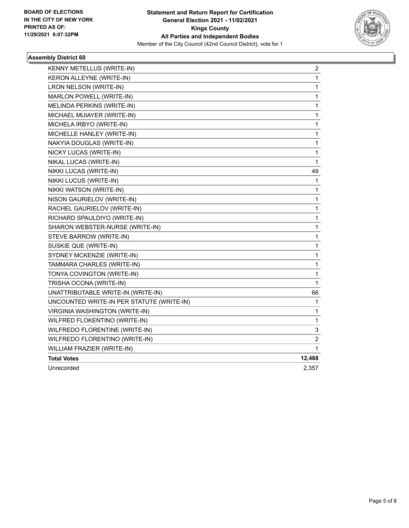

| KENNY METELLUS (WRITE-IN)                 | 2              |
|-------------------------------------------|----------------|
| KERON ALLEYNE (WRITE-IN)                  | 1              |
| LRON NELSON (WRITE-IN)                    | 1              |
| MARLON POWELL (WRITE-IN)                  | 1              |
| MELINDA PERKINS (WRITE-IN)                | 1              |
| MICHAEL MUIAYER (WRITE-IN)                | 1              |
| MICHELA IRBYO (WRITE-IN)                  | 1              |
| MICHELLE HANLEY (WRITE-IN)                | 1              |
| NAKYIA DOUGLAS (WRITE-IN)                 | $\mathbf{1}$   |
| NICKY LUCAS (WRITE-IN)                    | 1              |
| NIKAL LUCAS (WRITE-IN)                    | 1              |
| NIKKI LUCAS (WRITE-IN)                    | 49             |
| NIKKI LUCUS (WRITE-IN)                    | 1              |
| NIKKI WATSON (WRITE-IN)                   | 1              |
| NISON GAURIELOV (WRITE-IN)                | 1              |
| RACHEL GAURIELOV (WRITE-IN)               | 1              |
| RICHARD SPAULDIYO (WRITE-IN)              | 1              |
| SHARON WEBSTER-NURSE (WRITE-IN)           | 1              |
| STEVE BARROW (WRITE-IN)                   | 1              |
| SUSKIE QUE (WRITE-IN)                     | 1              |
| SYDNEY MCKENZIE (WRITE-IN)                | 1              |
| TAMMARA CHARLES (WRITE-IN)                | 1              |
| TONYA COVINGTON (WRITE-IN)                | 1              |
| TRISHA OCONA (WRITE-IN)                   | 1              |
| UNATTRIBUTABLE WRITE-IN (WRITE-IN)        | 66             |
| UNCOUNTED WRITE-IN PER STATUTE (WRITE-IN) | $\mathbf 1$    |
| VIRGINIA WASHINGTON (WRITE-IN)            | 1              |
| WILFRED FLOKENTINO (WRITE-IN)             | $\mathbf{1}$   |
| WILFREDO FLORENTINE (WRITE-IN)            | 3              |
| WILFREDO FLORENTINO (WRITE-IN)            | $\overline{c}$ |
| WILLIAM FRAZIER (WRITE-IN)                | 1              |
| <b>Total Votes</b>                        | 12,468         |
| Unrecorded                                | 2,357          |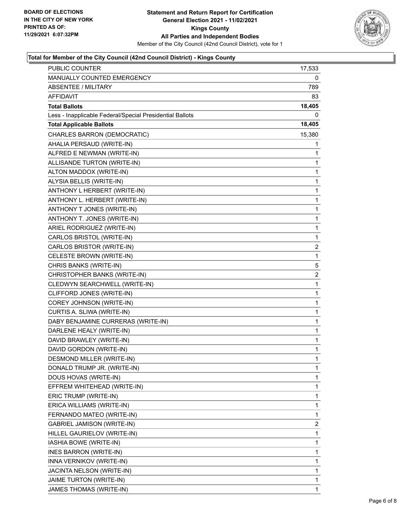

## **Total for Member of the City Council (42nd Council District) - Kings County**

| PUBLIC COUNTER                                           | 17,533                  |
|----------------------------------------------------------|-------------------------|
| MANUALLY COUNTED EMERGENCY                               | 0                       |
| <b>ABSENTEE / MILITARY</b>                               | 789                     |
| <b>AFFIDAVIT</b>                                         | 83                      |
| <b>Total Ballots</b>                                     | 18,405                  |
| Less - Inapplicable Federal/Special Presidential Ballots | 0                       |
| <b>Total Applicable Ballots</b>                          | 18,405                  |
| CHARLES BARRON (DEMOCRATIC)                              | 15,380                  |
| AHALIA PERSAUD (WRITE-IN)                                | 1                       |
| ALFRED E NEWMAN (WRITE-IN)                               | 1                       |
| ALLISANDE TURTON (WRITE-IN)                              | 1                       |
| ALTON MADDOX (WRITE-IN)                                  | 1                       |
| ALYSIA BELLIS (WRITE-IN)                                 | 1                       |
| ANTHONY L HERBERT (WRITE-IN)                             | $\mathbf 1$             |
| ANTHONY L. HERBERT (WRITE-IN)                            | 1                       |
| ANTHONY T JONES (WRITE-IN)                               | 1                       |
| ANTHONY T. JONES (WRITE-IN)                              | $\mathbf 1$             |
| ARIEL RODRIGUEZ (WRITE-IN)                               | 1                       |
| CARLOS BRISTOL (WRITE-IN)                                | 1                       |
| CARLOS BRISTOR (WRITE-IN)                                | $\overline{\mathbf{c}}$ |
| CELESTE BROWN (WRITE-IN)                                 | 1                       |
| CHRIS BANKS (WRITE-IN)                                   | 5                       |
| CHRISTOPHER BANKS (WRITE-IN)                             | $\overline{\mathbf{c}}$ |
| CLEDWYN SEARCHWELL (WRITE-IN)                            | 1                       |
| CLIFFORD JONES (WRITE-IN)                                | 1                       |
| COREY JOHNSON (WRITE-IN)                                 | $\mathbf 1$             |
| CURTIS A. SLIWA (WRITE-IN)                               | 1                       |
| DABY BENJAMINE CURRERAS (WRITE-IN)                       | 1                       |
| DARLENE HEALY (WRITE-IN)                                 | $\mathbf{1}$            |
| DAVID BRAWLEY (WRITE-IN)                                 | 1                       |
| DAVID GORDON (WRITE-IN)                                  | $\mathbf{1}$            |
| DESMOND MILLER (WRITE-IN)                                | $\mathbf 1$             |
| DONALD TRUMP JR. (WRITE-IN)                              | 1                       |
| DOUS HOVAS (WRITE-IN)                                    | 1                       |
| EFFREM WHITEHEAD (WRITE-IN)                              | $\mathbf 1$             |
| ERIC TRUMP (WRITE-IN)                                    | 1                       |
| ERICA WILLIAMS (WRITE-IN)                                | 1                       |
| FERNANDO MATEO (WRITE-IN)                                | 1                       |
| GABRIEL JAMISON (WRITE-IN)                               | 2                       |
| HILLEL GAURIELOV (WRITE-IN)                              | 1                       |
| IASHIA BOWE (WRITE-IN)                                   | $\mathbf 1$             |
| <b>INES BARRON (WRITE-IN)</b>                            | 1                       |
| INNA VERNIKOV (WRITE-IN)                                 | 1                       |
| JACINTA NELSON (WRITE-IN)                                | $\mathbf 1$             |
| JAIME TURTON (WRITE-IN)                                  | 1                       |
| JAMES THOMAS (WRITE-IN)                                  | 1                       |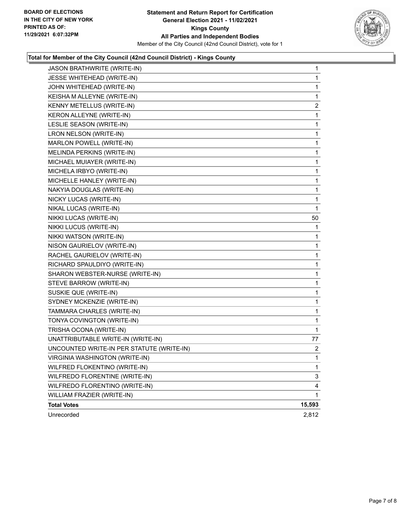

## **Total for Member of the City Council (42nd Council District) - Kings County**

| JASON BRATHWRITE (WRITE-IN)               | 1              |
|-------------------------------------------|----------------|
| JESSE WHITEHEAD (WRITE-IN)                | 1              |
| JOHN WHITEHEAD (WRITE-IN)                 | 1              |
| KEISHA M ALLEYNE (WRITE-IN)               | 1              |
| KENNY METELLUS (WRITE-IN)                 | 2              |
| KERON ALLEYNE (WRITE-IN)                  | 1              |
| LESLIE SEASON (WRITE-IN)                  | 1              |
| LRON NELSON (WRITE-IN)                    | 1              |
| MARLON POWELL (WRITE-IN)                  | 1              |
| MELINDA PERKINS (WRITE-IN)                | 1              |
| MICHAEL MUIAYER (WRITE-IN)                | 1              |
| MICHELA IRBYO (WRITE-IN)                  | 1              |
| MICHELLE HANLEY (WRITE-IN)                | 1              |
| NAKYIA DOUGLAS (WRITE-IN)                 | 1              |
| NICKY LUCAS (WRITE-IN)                    | 1              |
| NIKAL LUCAS (WRITE-IN)                    | 1              |
| NIKKI LUCAS (WRITE-IN)                    | 50             |
| NIKKI LUCUS (WRITE-IN)                    | 1              |
| NIKKI WATSON (WRITE-IN)                   | 1              |
| NISON GAURIELOV (WRITE-IN)                | 1              |
| RACHEL GAURIELOV (WRITE-IN)               | 1              |
| RICHARD SPAULDIYO (WRITE-IN)              | 1              |
| SHARON WEBSTER-NURSE (WRITE-IN)           | 1              |
| STEVE BARROW (WRITE-IN)                   | 1              |
| SUSKIE QUE (WRITE-IN)                     | 1              |
| SYDNEY MCKENZIE (WRITE-IN)                | 1              |
| TAMMARA CHARLES (WRITE-IN)                | 1              |
| TONYA COVINGTON (WRITE-IN)                | 1              |
| TRISHA OCONA (WRITE-IN)                   | 1              |
| UNATTRIBUTABLE WRITE-IN (WRITE-IN)        | 77             |
| UNCOUNTED WRITE-IN PER STATUTE (WRITE-IN) | $\overline{2}$ |
| <b>VIRGINIA WASHINGTON (WRITE-IN)</b>     | 1              |
| WILFRED FLOKENTINO (WRITE-IN)             | 1              |
| WILFREDO FLORENTINE (WRITE-IN)            | 3              |
| WILFREDO FLORENTINO (WRITE-IN)            | 4              |
| WILLIAM FRAZIER (WRITE-IN)                | 1              |
| <b>Total Votes</b>                        | 15,593         |
| Unrecorded                                | 2,812          |
|                                           |                |